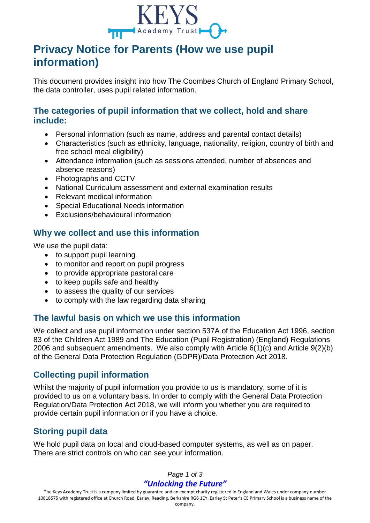

# **Privacy Notice for Parents (How we use pupil information)**

This document provides insight into how The Coombes Church of England Primary School, the data controller, uses pupil related information.

## **The categories of pupil information that we collect, hold and share include:**

- Personal information (such as name, address and parental contact details)
- Characteristics (such as ethnicity, language, nationality, religion, country of birth and free school meal eligibility)
- Attendance information (such as sessions attended, number of absences and absence reasons)
- Photographs and CCTV
- National Curriculum assessment and external examination results
- Relevant medical information
- Special Educational Needs information
- Exclusions/behavioural information

#### **Why we collect and use this information**

We use the pupil data:

- to support pupil learning
- to monitor and report on pupil progress
- to provide appropriate pastoral care
- to keep pupils safe and healthy
- to assess the quality of our services
- to comply with the law regarding data sharing

#### **The lawful basis on which we use this information**

We collect and use pupil information under section 537A of the Education Act 1996, section 83 of the Children Act 1989 and The Education (Pupil Registration) (England) Regulations 2006 and subsequent amendments. We also comply with Article 6(1)(c) and Article 9(2)(b) of the General Data Protection Regulation (GDPR)/Data Protection Act 2018.

## **Collecting pupil information**

Whilst the majority of pupil information you provide to us is mandatory, some of it is provided to us on a voluntary basis. In order to comply with the General Data Protection Regulation/Data Protection Act 2018, we will inform you whether you are required to provide certain pupil information or if you have a choice.

# **Storing pupil data**

We hold pupil data on local and cloud-based computer systems, as well as on paper. There are strict controls on who can see your information.

#### *Page 1 of 3 "Unlocking the Future"*

The Keys Academy Trust is a company limited by guarantee and an exempt charity registered in England and Wales under company number 10818575 with registered office at Church Road, Earley, Reading, Berkshire RG6 1EY. Earley St Peter's CE Primary School is a business name of the company.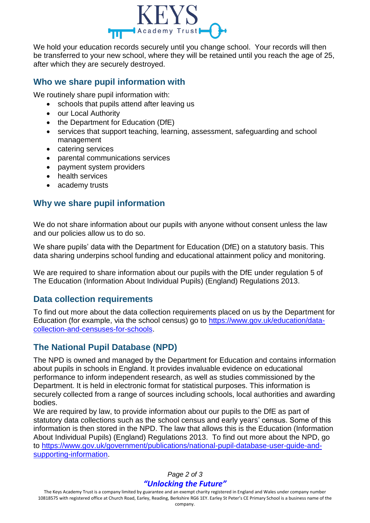

We hold your education records securely until you change school. Your records will then be transferred to your new school, where they will be retained until you reach the age of 25, after which they are securely destroyed.

#### **Who we share pupil information with**

We routinely share pupil information with:

- schools that pupils attend after leaving us
- our Local Authority
- the Department for Education (DfE)
- services that support teaching, learning, assessment, safeguarding and school management
- catering services
- parental communications services
- payment system providers
- health services
- academy trusts

## **Why we share pupil information**

We do not share information about our pupils with anyone without consent unless the law and our policies allow us to do so.

We share pupils' data with the Department for Education (DfE) on a statutory basis. This data sharing underpins school funding and educational attainment policy and monitoring.

We are required to share information about our pupils with the DfE under regulation 5 of The Education (Information About Individual Pupils) (England) Regulations 2013.

## **Data collection requirements**

To find out more about the data collection requirements placed on us by the Department for Education (for example, via the school census) go to [https://www.gov.uk/education/data](https://www.gov.uk/education/data-collection-and-censuses-for-schools)[collection-and-censuses-for-schools.](https://www.gov.uk/education/data-collection-and-censuses-for-schools)

## **The National Pupil Database (NPD)**

The NPD is owned and managed by the Department for Education and contains information about pupils in schools in England. It provides invaluable evidence on educational performance to inform independent research, as well as studies commissioned by the Department. It is held in electronic format for statistical purposes. This information is securely collected from a range of sources including schools, local authorities and awarding bodies.

We are required by law, to provide information about our pupils to the DfE as part of statutory data collections such as the school census and early years' census. Some of this information is then stored in the NPD. The law that allows this is the Education (Information About Individual Pupils) (England) Regulations 2013. To find out more about the NPD, go to [https://www.gov.uk/government/publications/national-pupil-database-user-guide-and](https://www.gov.uk/government/publications/national-pupil-database-user-guide-and-supporting-information)[supporting-information.](https://www.gov.uk/government/publications/national-pupil-database-user-guide-and-supporting-information)